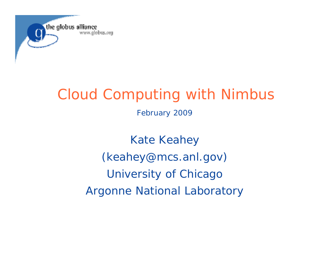

# Cloud Computing with Nimbus

February 2009

Kate Keahey *(keahey@mcs.anl.gov)* University of Chicago Argonne National Laboratory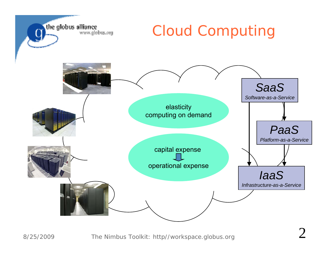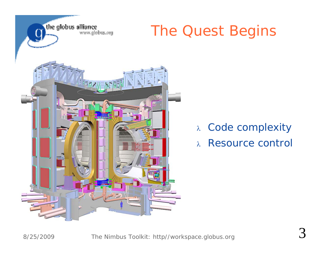

#### The Quest Begins

- $\lambda$  -Code complexity
- $\lambda$ Resource control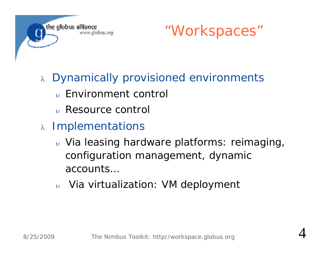



4

- $\lambda$  Dynamically provisioned environments
	- $_{\tiny \rm U}$  Environment control
	- $_{\rm \scriptscriptstyle \rm \scriptscriptstyle U}$  Resource control
- <sup>λ</sup> Implementations
	- $_{\tiny \text{U}}$  Via leasing hardware platforms: reimaging, configuration management, dynamic accounts…
	- $\mathbf{U}$ Via virtualization: VM deployment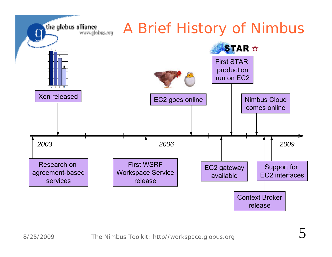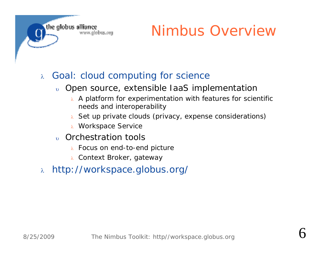

### Nimbus Overview

#### $\lambda$ Goal: cloud computing for science

- $_{\rm \uplus}$  Open source, extensible IaaS implementatior
	- $\lambda$  A platform for experimentation with features for scientific needs and interoperability
	- $_{\lambda}$  Set up private clouds (privacy, expense considerations)
	- $\lambda$  Workspace Service
- $_{\tiny \rm U}$  Orchestration tools
	- $\lambda$  Focus on end-to-end picture
	- $\lambda$  Context Broker, gateway
- $\lambda$ http://workspace.globus.org/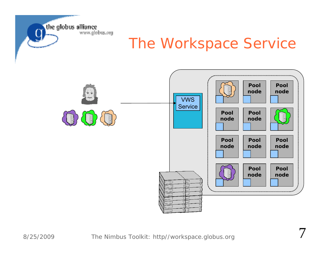

#### The Workspace Service

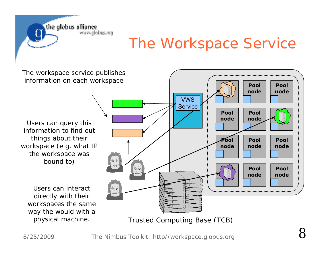the globus alliance www.globus.org

#### The Workspace Service

**PoolnodePoolnodePoolnodePoolnodePoolnodePoolnodePoolnodePoolnodePoolnodePoolnodePoolnodePoolnode**The workspace service publishes information on each workspace Users can query this information to find outthings about their workspace (e.g. what IP the workspace was bound to) Users can interact directly with their workspaces the same way the would with a VWS **Service** 

Trusted Computing Base (TCB)

8

physical machine.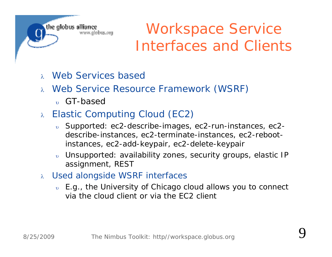the globus alliance www.alobus.ora

### Workspace Service Interfaces and Clients

- $\lambda$ Web Services based
- Web Service Resource Framework (WSRF)
	- $_{\rm\scriptscriptstyle D}$  GT-based
- $\lambda$  Elastic Computing Cloud (EC2)
	- $_{\circ}$  Supported: ec2-describe-images, ec2-run-instances, ec2describe-instances, ec2-terminate-instances, ec2-rebootinstances, ec2-add-keypair, ec2-delete-keypair
	- υ Unsupported: availability zones, security groups, elastic IP assignment, REST
- $\alpha$  Used alongside WSRF interfaces
	- $_{\circ}$  E.g., the University of Chicago cloud allows you to connect via the cloud client or via the EC2 client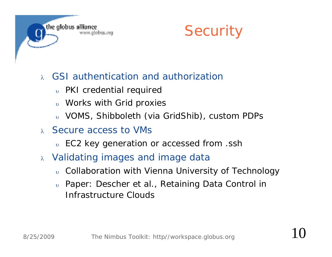



#### $\lambda$ GSI authentication and authorization

- $_{\rm \uplus}$  PKI credential requirec
- $_{\rm \uplus}$  Works with Grid proxies
- VOMS, Shibboleth (via GridShib), custom PDPs
- Secure access to VMs
	- $_{\rm \uplus}$  EC2 key generation or accessed from .ssh
- $\alpha$  -Validating images and image data
	- $_{\rm \uplus}$  Collaboration with Vienna University of Technology
	- *Paper: Descher et al., Retaining Data Control in Infrastructure Clouds*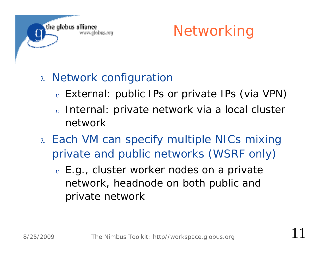



#### $\lambda$  Network configuration

- $_{\tiny \text{U}}$  External: public IPs or private IPs (via VPN)
- υ Internal: private network via a local cluster network
- Each VM can specify multiple NICs mixing private and public networks (WSRF only)
	- $\scriptstyle\rm\scriptstyle\rm\scriptstyle\rm\scriptstyle\rm\scriptstyle\rm\scriptstyle\rm}$  E.g., cluster worker nodes on a private network, headnode on both public and private network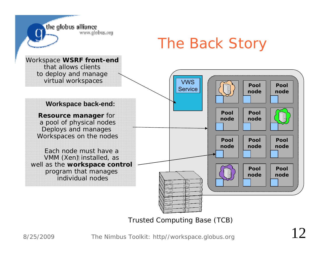

Trusted Computing Base (TCB)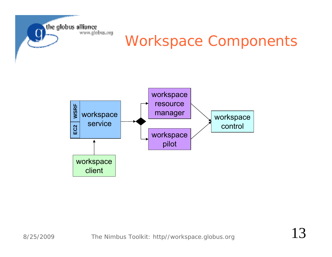

## Workspace Components

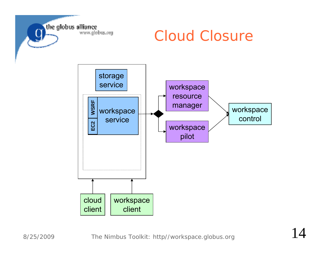

#### Cloud Closure

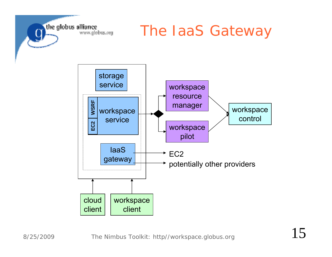

#### The IaaS Gateway

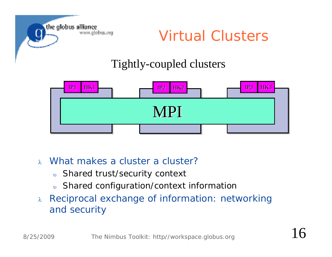

Virtual Clusters

#### Tightly-coupled clusters



- $\lambda$ What makes a cluster a cluster?
	- $_{\rm \uplus}$  Shared trust/security context
	- $_{\rm \uplus}$  Shared configuration/context informatior
- $\lambda$  Reciprocal exchange of information: networking and security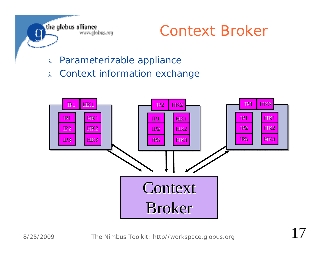

#### Context Broker

- $\lambda$ Parameterizable appliance
- $\lambda$ Context information exchange

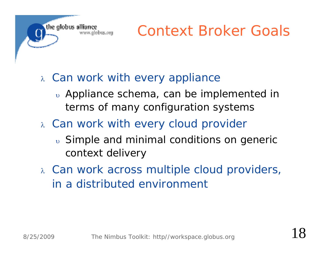

- $\alpha$  Can work with every appliance
	- $\overline{v}$  Appliance schema, can be implemented in terms of many configuration systems
- $\alpha$  Can work with every cloud provider
	- $_{\text{o}}$  Simple and minimal conditions on generic context delivery
- Can work across multiple cloud providers, in a distributed environment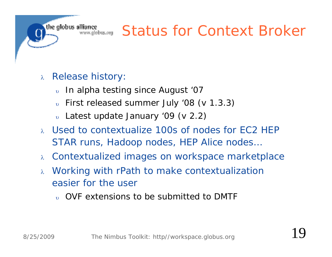#### Status for Context Broker

- $\lambda$  Release history:
	- $\mathbf{D}$ In alpha testing since August '07
	- $_{\tiny \rm \cdots}$  First released summer July '08 (v 1.3.3)
	- $_{\tiny \rm \cdots}$  Latest update January '09 (v 2.2)
- Used to contextualize 100s of nodes for EC2 HEP STAR runs, Hadoop nodes, HEP Alice nodes…
- $\lambda$ Contextualized images on workspace marketplace
- $\lambda$  Working with rPath to make contextualization easier for the user
	- $_{\tiny \rm U}$  OVF extensions to be submitted to DMTF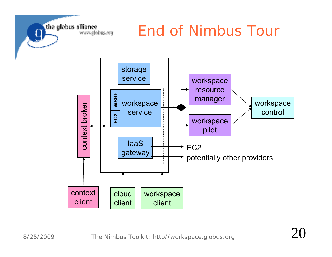

#### End of Nimbus Tour

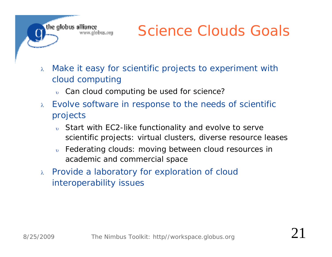### Science Clouds Goals

- $\lambda$  Make it easy for scientific projects to experiment with cloud computing
	- $_{\circ}$  Can cloud computing be used for science?
- $\lambda$  Evolve software in response to the needs of scientific projects
	- υ Start with EC2-like functionality and evolve to serve scientific projects: virtual clusters, diverse resource leases
	- υ Federating clouds: moving between cloud resources in academic and commercial space
- $\lambda$  Provide a laboratory for exploration of cloud interoperability issues

the globus alliance

www.alobus.ora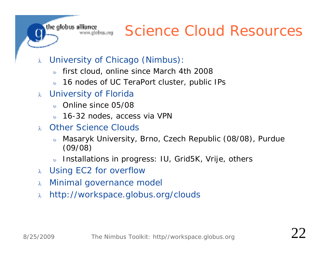the globus alliance www.globus.org

#### Science Cloud Resources

- $\lambda$  University of Chicago (Nimbus):
	- $\overline{D}$ first cloud, online since March 4th 2008
	- $\upsilon$ 16 nodes of UC TeraPort cluster, public IPs
- University of Florida
	- $\overline{D}$ Online since 05/08
	- $_{\rm \uplus}$   $\,$  16-32 nodes, access via VPN
- Other Science Clouds
	- $\mathbf{U}$  Masaryk University, Brno, Czech Republic (08/08), Purdue (09/08)
	- $\overline{v}$ Installations in progress: IU, Grid5K, Vrije, others
- Using EC2 for overflow
- $\lambda$ Minimal governance model
- $\lambda$ http://workspace.globus.org/clouds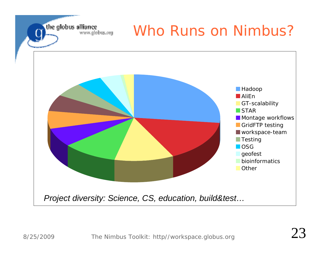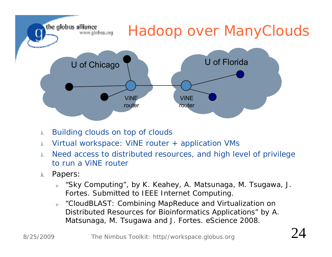

- $\lambda$ Building clouds on top of clouds
- $\lambda$ Virtual workspace: ViNE router + application VMs
- $\lambda$  Need access to distributed resources, and high level of privilege to run a ViNE router
- $\lambda$  *Papers:*
	- $\upsilon$  *"Sky Computing", by K. Keahey, A. Matsunaga, M. Tsugawa, J. Fortes. Submitted to IEEE Internet Computing.*
	- $\upsilon$  *"CloudBLAST: Combining MapReduce and Virtualization on Distributed Resources for Bioinformatics Applications" by A. Matsunaga, M. Tsugawa and J. Fortes. eScience 2008.*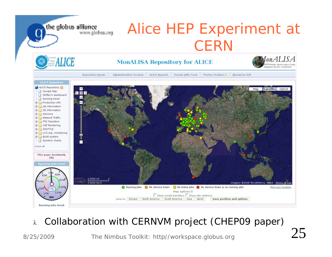

 $\lambda$ *Collaboration with CERNVM project (CHEP09 paper)*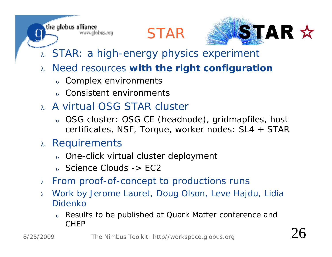STAR



- $\lambda$  STAR: a high-energy physics experiment
- $\lambda$  Need resources **with the right configuration**
	- $_{\rm \uplus}$  Complex environments

www.globus.org

- $_{\tiny \rm U}$  Consistent environments
- A virtual OSG STAR cluster
	- $_{\rm \uplus}$  OSG cluster: OSG CE (headnode), gridmapfiles, host certificates, NSF, Torque, worker nodes: SL4 + STAR
- $\lambda$  Requirements

the globus alliance

- $_{\rm \uplus}$  One-click virtual cluster deployment
- $_{\rm\scriptscriptstyle{U}}$  Science Clouds -> EC2
- $\lambda$ From proof-of-concept to productions runs
- $\lambda$  Work by Jerome Lauret, Doug Olson, Leve Hajdu, Lidia Didenko
	- υ Results to be published at Quark Matter conference and CHEP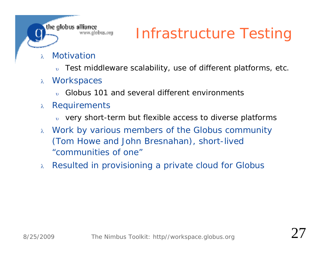### Infrastructure Testing

#### $\lambda$ . Motivation

the globus alliance

www.globus.org

- $\mathbf{D}$ Test middleware scalability, use of different platforms, etc.
- $\lambda$ **Workspaces** 
	- $_{\tiny \text{U}}$  Globus 101 and several different environments
- $\lambda$ **Requirements** 
	- $_{\circ}$  very short-term but flexible access to diverse platforms.
- $\lambda$  Work by various members of the Globus community (Tom Howe and John Bresnahan), short-lived "communities of one"
- $\alpha$  Resulted in provisioning a private cloud for Globus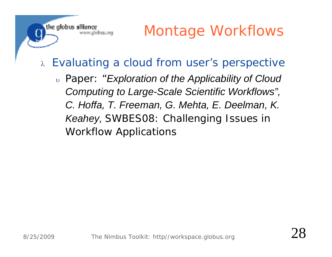### Montage Workflows

#### $\lambda$ Evaluating a cloud from user's perspective

 *Paper: "Exploration of the Applicability of Cloud Computing to Large-Scale Scientific Workflows", C. Hoffa, T. Freeman, G. Mehta, E. Deelman, K. Keahey, SWBES08: Challenging Issues in Workflow Applications*

the globus alliance

www.globus.org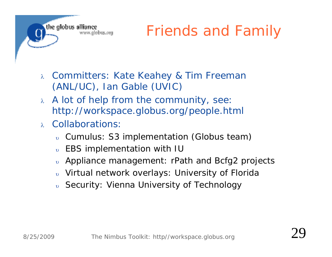

- $\lambda$  Committers: Kate Keahey & Tim Freeman (ANL/UC), Ian Gable (UVIC)
- $\lambda$  A lot of help from the community, see: http://workspace.globus.org/people.html
- Collaborations:
	- υ Cumulus: S3 implementation (Globus team)
	- $\mathbf{D}$ EBS implementation with IU
	- $\mathbf{D}$ Appliance management: rPath and Bcfg2 projects
	- $\mathbf{D}$ Virtual network overlays: University of Florida
	- $_{\rm \uplus}$  Security: Vienna University of Technology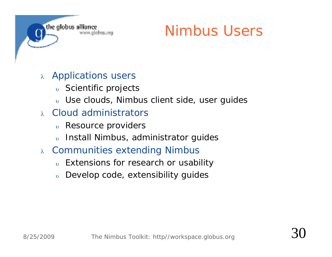

### Nimbus Users

- $\lambda$  Applications users
	- $_{\rm \uplus}$  Scientific projects
	- $_{\rm \uplus}$  Use clouds, Nimbus client side, user guides
- $\lambda$  Cloud administrators
	- $_{\rm \uplus}$  Resource providers
	- $_{\circ}$  Install Nimbus, administrator guides
- $\lambda$  -Communities extending Nimbus
	- $_{\circ}$  Extensions for research or usability
	- $_{\rm\scriptscriptstyle U}$  Develop code, extensibility guides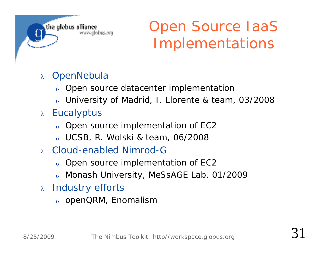the alobus alliance www.globus.org

## Open Source IaaS Implementations

#### $\lambda$ **OpenNebula**

- $_{\rm \uplus}$  Open source datacenter implementatior
- $_{\rm \uplus}$  University of Madrid, I. Llorente & team, 03/2008
- <sub>λ</sub> Eucalyptus
	- $_{\tiny \rm \cdots}$  Open source implementation of EC2
	- UCSB, R. Wolski & team, 06/2008
- Cloud-enabled Nimrod-G
	- $_{\tiny \rm \cdots}$  Open source implementation of EC2
	- $_{\rm \uplus}$  Monash University, MeSsAGE Lab, 01/2009
- $\lambda$  Industry efforts
	- $_{\rm \uplus}$  openQRM, Enomalism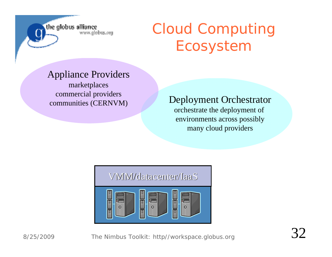the globus alliance www.globus.org Cloud Computing Ecosystem

#### Appliance Providers

marketplaces commercial providers

#### communities (CERNVM) Deployment Orchestrator

orchestrate the deployment of environments across possibly many cloud providers

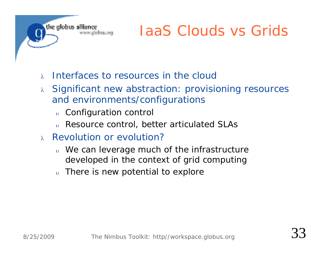

## IaaS Clouds vs Grids

- $\lambda$ Interfaces to resources in the cloud
- $\lambda$  Significant new abstraction: provisioning resources  $\lambda$ and environments/configurations
	- $_{\rm \uplus}$  Configuration control
	- υ Resource control, better articulated SLAs
- $\lambda$  Revolution or evolution?
	- $_{\tiny \rm \upsilon}$  We can leverage much of the infrastructure  $_{\tiny \rm \upsilon}$ developed in the context of grid computing
	- υ There is new potential to explore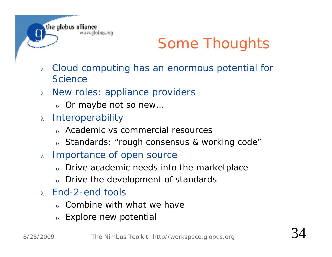

## Some Thoughts

- $\lambda$  Cloud computing has an enormous potential for **Science**
- $\alpha$  New roles: appliance providers
	- $_{\rm\scriptscriptstyle U}$  Or maybe not so new...
- $\lambda$  Interoperability
	- Academic vs commercial resources
	- $_{\rm \uplus}$  Standards: "rough consensus & working code"
- $\lambda$  Importance of open source
	- υ Drive academic needs into the marketplace
	- $_{\circ}$  Drive the development of standards
- $\lambda$  End-2-end tools
	- $_{\tiny \rm U}$  Combine with what we have
	- $_{\rm \uplus}$  Explore new potential